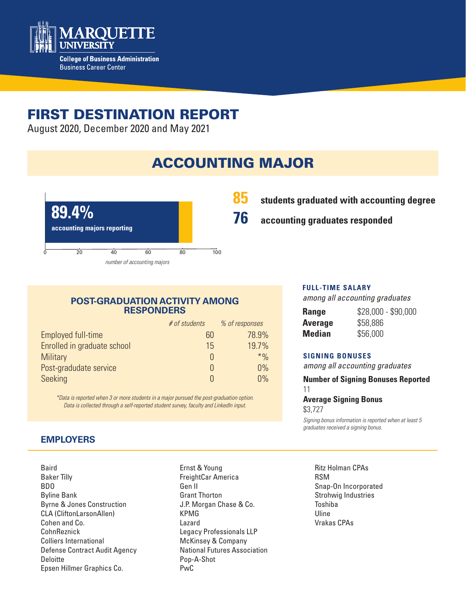

# FIRST DESTINATION REPORT

August 2020, December 2020 and May 2021

# ACCOUNTING MAJOR



## **85 students graduated with accounting degree**

**76 accounting graduates responded**

#### **POST-GRADUATION ACTIVITY AMONG RESPONDERS**

|                             | # of students | % of responses |
|-----------------------------|---------------|----------------|
| Employed full-time          | 60            | 78.9%          |
| Enrolled in graduate school | 15            | 19.7%          |
| <b>Military</b>             |               | $*$ %          |
| Post-gradudate service      |               | 0%             |
| Seeking                     |               | 0%             |

*\*Data is reported when 3 or more students in a major pursued the post-graduation option. Data is collected through a self-reported student survey, faculty and LinkedIn input.*

### **EMPLOYERS**

Baird Baker Tilly BDO Byline Bank Byrne & Jones Construction CLA (CliftonLarsonAllen) Cohen and Co. CohnReznick Colliers International Defense Contract Audit Agency **Deloitte** Epsen Hillmer Graphics Co.

Ernst & Young FreightCar America Gen II Grant Thorton J.P. Morgan Chase & Co. KPMG Lazard Legacy Professionals LLP McKinsey & Company National Futures Association Pop-A-Shot PwC

#### **FULL-TIME SALARY**

*among all accounting graduates*

| Range   | $$28,000 - $90,000$ |
|---------|---------------------|
| Average | \$58,886            |
| Median  | \$56,000            |

#### **SIGNING BONUSES**

*among all accounting graduates*

**Number of Signing Bonuses Reported**

11

**Average Signing Bonus**  \$3,727

*Signing bonus information is reported when at least 5 graduates received a signing bonus.* 

Ritz Holman CPAs RSM Snap-On Incorporated Strohwig Industries Toshiba Uline Vrakas CPAs